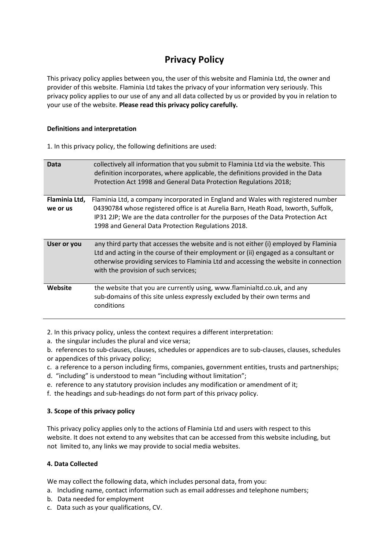# **Privacy Policy**

This privacy policy applies between you, the user of this website and Flaminia Ltd, the owner and provider of this website. Flaminia Ltd takes the privacy of your information very seriously. This privacy policy applies to our use of any and all data collected by us or provided by you in relation to your use of the website. **Please read this privacy policy carefully.**

## **Definitions and interpretation**

1. In this privacy policy, the following definitions are used:

| Data                      | collectively all information that you submit to Flaminia Ltd via the website. This<br>definition incorporates, where applicable, the definitions provided in the Data<br>Protection Act 1998 and General Data Protection Regulations 2018;                                                                       |
|---------------------------|------------------------------------------------------------------------------------------------------------------------------------------------------------------------------------------------------------------------------------------------------------------------------------------------------------------|
| Flaminia Ltd,<br>we or us | Flaminia Ltd, a company incorporated in England and Wales with registered number<br>04390784 whose registered office is at Aurelia Barn, Heath Road, Ixworth, Suffolk,<br>IP31 2JP; We are the data controller for the purposes of the Data Protection Act<br>1998 and General Data Protection Regulations 2018. |
| User or you               | any third party that accesses the website and is not either (i) employed by Flaminia<br>Ltd and acting in the course of their employment or (ii) engaged as a consultant or<br>otherwise providing services to Flaminia Ltd and accessing the website in connection<br>with the provision of such services;      |
| Website                   | the website that you are currently using, www.flaminialtd.co.uk, and any<br>sub-domains of this site unless expressly excluded by their own terms and<br>conditions                                                                                                                                              |

2. In this privacy policy, unless the context requires a different interpretation:

a. the singular includes the plural and vice versa;

b. references to sub-clauses, clauses, schedules or appendices are to sub-clauses, clauses, schedules

- or appendices of this privacy policy;
- c. a reference to a person including firms, companies, government entities, trusts and partnerships;
- d. "including" is understood to mean "including without limitation";
- e. reference to any statutory provision includes any modification or amendment of it;
- f. the headings and sub-headings do not form part of this privacy policy.

# **3. Scope of this privacy policy**

This privacy policy applies only to the actions of Flaminia Ltd and users with respect to this website. It does not extend to any websites that can be accessed from this website including, but not limited to, any links we may provide to social media websites.

#### **4. Data Collected**

We may collect the following data, which includes personal data, from you:

- a. Including name, contact information such as email addresses and telephone numbers;
- b. Data needed for employment
- c. Data such as your qualifications, CV.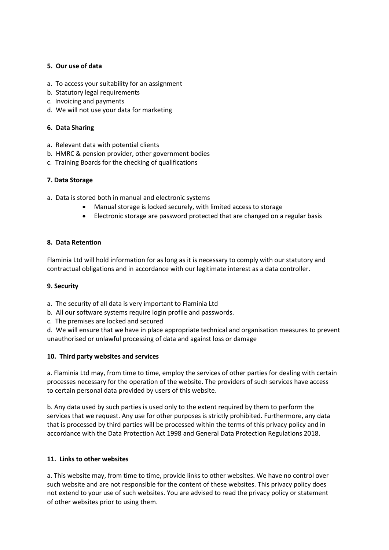## **5. Our use of data**

- a.To access your suitability for an assignment
- b. Statutory legal requirements
- c. Invoicing and payments
- d. We will not use your data for marketing

#### **6. Data Sharing**

- a. Relevant data with potential clients
- b. HMRC & pension provider, other government bodies
- c. Training Boards for the checking of qualifications

## **7. Data Storage**

- a. Data is stored both in manual and electronic systems
	- Manual storage is locked securely, with limited access to storage
	- Electronic storage are password protected that are changed on a regular basis

## **8. Data Retention**

Flaminia Ltd will hold information for as long as it is necessary to comply with our statutory and contractual obligations and in accordance with our legitimate interest as a data controller.

#### **9. Security**

a. The security of all data is very important to Flaminia Ltd

- b. All our software systems require login profile and passwords.
- c. The premises are locked and secured

d. We will ensure that we have in place appropriate technical and organisation measures to prevent unauthorised or unlawful processing of data and against loss or damage

#### **10. Third party websites and services**

a. Flaminia Ltd may, from time to time, employ the services of other parties for dealing with certain processes necessary for the operation of the website. The providers of such services have access to certain personal data provided by users of this website.

b. Any data used by such parties is used only to the extent required by them to perform the services that we request. Any use for other purposes is strictly prohibited. Furthermore, any data that is processed by third parties will be processed within the terms of this privacy policy and in accordance with the Data Protection Act 1998 and General Data Protection Regulations 2018.

# **11. Links to other websites**

a. This website may, from time to time, provide links to other websites. We have no control over such website and are not responsible for the content of these websites. This privacy policy does not extend to your use of such websites. You are advised to read the privacy policy or statement of other websites prior to using them.